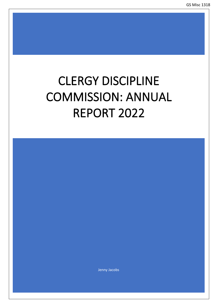# CLERGY DISCIPLINE COMMISSION: ANNUAL REPORT 2022

Jenny Jacobs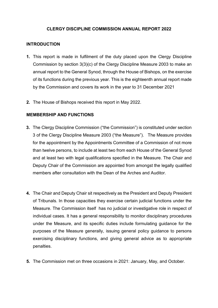# **CLERGY DISCIPLINE COMMISSION ANNUAL REPORT 2022**

# **INTRODUCTION**

- **1.** This report is made in fulfilment of the duty placed upon the Clergy Discipline Commission by section 3(3)(c) of the Clergy Discipline Measure 2003 to make an annual report to the General Synod, through the House of Bishops, on the exercise of its functions during the previous year. This is the eighteenth annual report made by the Commission and covers its work in the year to 31 December 2021
- **2.** The House of Bishops received this report in May 2022.

## **MEMBERSHIP AND FUNCTIONS**

- **3.** The Clergy Discipline Commission ("the Commission") is constituted under section 3 of the Clergy Discipline Measure 2003 ("the Measure"). The Measure provides for the appointment by the Appointments Committee of a Commission of not more than twelve persons, to include at least two from each House of the General Synod and at least two with legal qualifications specified in the Measure. The Chair and Deputy Chair of the Commission are appointed from amongst the legally qualified members after consultation with the Dean of the Arches and Auditor.
- **4.** The Chair and Deputy Chair sit respectively as the President and Deputy President of Tribunals. In those capacities they exercise certain judicial functions under the Measure. The Commission itself has no judicial or investigative role in respect of individual cases. It has a general responsibility to monitor disciplinary procedures under the Measure, and its specific duties include formulating guidance for the purposes of the Measure generally, issuing general policy guidance to persons exercising disciplinary functions, and giving general advice as to appropriate penalties.
- **5.** The Commission met on three occasions in 2021: January, May, and October.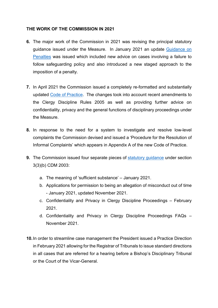# **THE WORK OF THE COMMISSION IN 2021**

- **6.** The major work of the Commission in 2021 was revising the principal statutory guidance issued under the Measure. In January 2021 an update [Guidance on](https://www.churchofengland.org/sites/default/files/2021-02/Penalty%20Guidance%20Revd%20JAN%2021%5B1%5D.pdf) [Penalties](https://www.churchofengland.org/sites/default/files/2021-02/Penalty%20Guidance%20Revd%20JAN%2021%5B1%5D.pdf) was issued which included new advice on cases involving a failure to follow safeguarding policy and also introduced a new staged approach to the imposition of a penalty.
- **7.** In April 2021 the Commission issued a completely re-formatted and substantially updated [Code of Practice.](https://www.churchofengland.org/sites/default/files/2021-07/Code%20of%20Practice%20April%202021_0.pdf) The changes took into account recent amendments to the Clergy Discipline Rules 2005 as well as providing further advice on confidentiality, privacy and the general functions of disciplinary proceedings under the Measure.
- **8.** In response to the need for a system to investigate and resolve low-level complaints the Commission devised and issued a 'Procedure for the Resolution of Informal Complaints' which appears in Appendix A of the new Code of Practice.
- **9.** The Commission issued four separate pieces of [statutory](https://www.churchofengland.org/sites/default/files/2021-11/CDC%20Statutory%20Guidance_0.pdf) guidance under section 3(3)(b) CDM 2003:
	- a. The meaning of 'sufficient substance' January 2021.
	- b. Applications for permission to being an allegation of misconduct out of time - January 2021, updated November 2021.
	- c. Confidentiality and Privacy in Clergy Discipline Proceedings February 2021.
	- d. Confidentiality and Privacy in Clergy Discipline Proceedings FAQs November 2021.
- **10.**In order to streamline case management the President issued a Practice Direction in February 2021 allowing for the Registrar of Tribunals to issue standard directions in all cases that are referred for a hearing before a Bishop's Disciplinary Tribunal or the Court of the Vicar-General.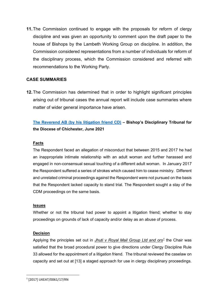**11.**The Commission continued to engage with the proposals for reform of clergy discipline and was given an opportunity to comment upon the draft paper to the house of Bishops by the Lambeth Working Group on discipline. In addition, the Commission considered representations from a number of individuals for reform of the disciplinary process, which the Commission considered and referred with recommendations to the Working Party.

# **CASE SUMMARIES**

**12.**The Commission has determined that in order to highlight significant principles arising out of tribunal cases the annual report will include case summaries where matter of wider general importance have arisen.

# **[The Reverend AB \(by his litigation friend](https://www.churchofengland.org/sites/default/files/2021-07/The%20Revd%20AB.pdf) CD) – Bishop's Disciplinary Tribunal for the Diocese of Chichester, June 2021**

## **Facts**

The Respondent faced an allegation of misconduct that between 2015 and 2017 he had an inappropriate intimate relationship with an adult woman and further harassed and engaged in non-consensual sexual touching of a different adult woman. In January 2017 the Respondent suffered a series of strokes which caused him to cease ministry. Different and unrelated criminal proceedings against the Respondent were not pursued on the basis that the Respondent lacked capacity to stand trial. The Respondent sought a stay of the CDM proceedings on the same basis.

#### **Issues**

Whether or not the tribunal had power to appoint a litigation friend; whether to stay proceedings on grounds of lack of capacity and/or delay as an abuse of process.

#### **Decision**

Applying the principles set out in *Jhuti v Royal Mail Group Ltd and ors[1](#page-3-0)* the Chair was satisfied that the broad procedural power to give directions under Clergy Discipline Rule 33 allowed for the appointment of a litigation friend. The tribunal reviewed the caselaw on capacity and set out at [13] a staged approach for use in clergy disciplinary proceedings.

<span id="page-3-0"></span><sup>1</sup> [2017] UKEAT/0061/17/RN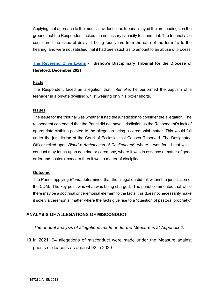Applying that approach to the medical evidence the tribunal stayed the proceedings on the ground that the Respondent lacked the necessary capacity to stand trial. The tribunal also considered the issue of delay, it being four years from the date of the form 1a to the hearing, and were not satisfied that it had been such as to amount to an abuse of process.

# **[The Reverend Clive Evans](https://www.churchofengland.org/sites/default/files/2022-03/Tribunal%20decision%20on%20Jurisdiction%2006.12.21%20FINAL.pdf) - Bishop's Disciplinary Tribunal for the Diocese of Hereford, December 2021**

#### **Facts**

The Respondent faced an allegation that, *inter alia*, he performed the baptism of a teenager in a private dwelling whilst wearing only his boxer shorts.

#### **Issues**

The issue for the tribunal was whether it had the jurisdiction to consider the allegation. The respondent contended that the Panel did not have jurisdiction as the Respondent's lack of appropriate clothing pointed to the allegation being a ceremonial matter. This would fall under the jurisdiction of the Court of Ecclesiastical Causes Reserved. The Designated Officer relied upon *Bland v Archdeacon of Cheltenham<sup>[2](#page-4-0)</sup>,* where it was found that whilst conduct may touch upon doctrine or ceremony, where it was in essence a matter of good order and pastoral concern then it was a matter of discipline.

#### **Outcome**

The Panel, applying *Bland*, determined that the allegation did fall within the jurisdiction of the CDM. The key point was what was being charged. The panel commented that while there may be a doctrinal or ceremonial element to the facts, this does not necessarily make it solely a ceremonial matter where the facts give rise to a "question of pastoral propriety."

# **ANALYSIS OF ALLEGATIONS OF MISCONDUCT**

#### *The annual analysis of allegations made under the Measure is at Appendix 2.*

**13.**In 2021, 94 allegations of misconduct were made under the Measure against priests or deacons as against 92 in 2020.

<span id="page-4-0"></span><sup>2</sup> [1972] 1 All ER 1012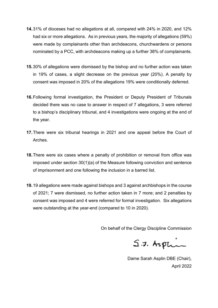- **14.**31% of dioceses had no allegations at all, compared with 24% in 2020, and 12% had six or more allegations. As in previous years, the majority of allegations (59%) were made by complainants other than archdeacons, churchwardens or persons nominated by a PCC, with archdeacons making up a further 38% of complainants.
- **15.**30% of allegations were dismissed by the bishop and no further action was taken in 19% of cases, a slight decrease on the previous year (20%). A penalty by consent was imposed in 20% of the allegations 19% were conditionally deferred.
- **16.**Following formal investigation, the President or Deputy President of Tribunals decided there was no case to answer in respect of 7 allegations, 3 were referred to a bishop's disciplinary tribunal, and 4 investigations were ongoing at the end of the year.
- **17.**There were six tribunal hearings in 2021 and one appeal before the Court of Arches.
- **18.**There were six cases where a penalty of prohibition or removal from office was imposed under section 30(1)(a) of the Measure following conviction and sentence of imprisonment and one following the inclusion in a barred list.
- **19.**19 allegations were made against bishops and 3 against archbishops in the course of 2021; 7 were dismissed, no further action taken in 7 more; and 2 penalties by consent was imposed and 4 were referred for formal investigation. Six allegations were outstanding at the year-end (compared to 10 in 2020).

On behalf of the Clergy Discipline Commission

 $S.5.$  Asplin

Dame Sarah Asplin DBE (Chair), April 2022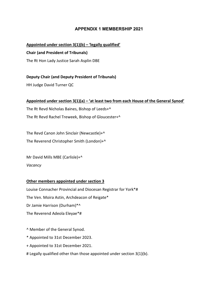# **APPENDIX 1 MEMBERSHIP 2021**

#### **Appointed under section 3(1)(b) – 'legally qualified'**

#### **Chair (and President of Tribunals)**

The Rt Hon Lady Justice Sarah Asplin DBE

#### **Deputy Chair (and Deputy President of Tribunals)**

HH Judge David Turner QC

#### **Appointed under section 3(1)(a) – 'at least two from each House of the General Synod'**

The Rt Revd Nicholas Baines, Bishop of Leeds+^ The Rt Revd Rachel Treweek, Bishop of Gloucester+^

The Revd Canon John Sinclair (Newcastle)+^ The Reverend Christopher Smith (London)+^

Mr David Mills MBE (Carlisle)+^ *Vacancy*

#### **Other members appointed under section 3**

Louise Connacher Provincial and Diocesan Registrar for York\*# The Ven. Moira Astin, Archdeacon of Reigate\* Dr Jamie Harrison (Durham)\*^ The Reverend Adeola Eleyae\*#

^ Member of the General Synod.

- \* Appointed to 31st December 2023.
- + Appointed to 31st December 2021.
- # Legally qualified other than those appointed under section 3(1)(b).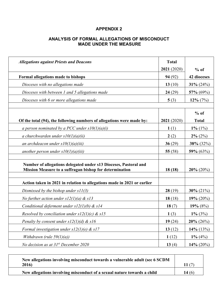# **APPENDIX 2**

# **ANALYSIS OF FORMAL ALLEGATIONS OF MISCONDUCT MADE UNDER THE MEASURE**

| <b>Allegations against Priests and Deacons</b>                                                                              | <b>Total</b><br>2021 (2020) | $%$ of                 |
|-----------------------------------------------------------------------------------------------------------------------------|-----------------------------|------------------------|
| Formal allegations made to bishops                                                                                          | 94(92)                      | 42 dioceses            |
| Dioceses with no allegations made                                                                                           | 13 $(10)$                   | 31% $(24%)$            |
| Dioceses with between 1 and 5 allegations made                                                                              | 24(29)                      | 57% $(69\%)$           |
| Dioceses with 6 or more allegations made                                                                                    | 5(3)                        | $12\%$ (7%)            |
|                                                                                                                             |                             |                        |
| Of the total (94), the following numbers of allegations were made by:                                                       | 2021 (2020)                 | $%$ of<br><b>Total</b> |
| a person nominated by a PCC under $s10(1)(a)(i)$                                                                            | 1(1)                        | $1\%$ (1%)             |
| a churchwarden under $s10(1)(a)(ii)$                                                                                        | 2(2)                        | $2\% (2\%)$            |
| an archdeacon under $s10(1)(a)(iii)$                                                                                        | 36(29)                      | 38% (32%)              |
| another person under $s10(1)(a)(iii)$                                                                                       | 55 $(58)$                   | 59% $(63\%)$           |
| Number of allegations delegated under s13 Dioceses, Pastoral and<br>Mission Measure to a suffragan bishop for determination | 18(18)                      | $20\%$ (20%)           |
| Action taken in 2021 in relation to allegations made in 2021 or earlier                                                     |                             |                        |
| Dismissed by the bishop under $s11(3)$                                                                                      | 28(19)                      | 30% $(21\%)$           |
| No further action under $s12(1)(a)$ & $s13$                                                                                 | 18(18)                      | 19% $(20\%)$           |
| Conditional deferment under $s12(1)(b)$ & $s14$                                                                             | 18 $(7)$                    | 19% $(8%)$             |
| Resolved by conciliation under $s12(1)(c)$ & $s15$                                                                          | 1(3)                        | $1\%$ (3%)             |
| Penalty by consent under $s12(1)(d)$ & $s16$                                                                                | 19(24)                      | $20\%$ (26%)           |
| Formal investigation under $s12(1)(e)$ & $s17$                                                                              | 13(12)                      | 14% (13%)              |
| Withdrawn (rule $59(1)(a)$ )                                                                                                | 1(12)                       | $1\% (4\%)$            |
| No decision as at $31^{st}$ December 2020                                                                                   | 13(4)                       | 14% $(20\%)$           |

| New allegations involving misconduct towards a vulnerable adult (sec 6 SCDM<br>2016) |       |
|--------------------------------------------------------------------------------------|-------|
| New allegations involving misconduct of a sexual nature towards a child              | 14(6) |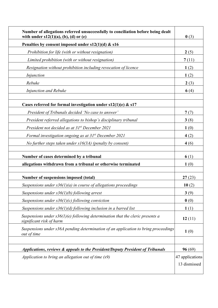| Number of allegations referred unsuccessfully to conciliation before being dealt<br>with under $s12(1)(a)$ , (b), (d) or (e) | 0(3)                            |
|------------------------------------------------------------------------------------------------------------------------------|---------------------------------|
| Penalties by consent imposed under $s12(1)(d)$ & $s16$                                                                       |                                 |
| Prohibition for life (with or without resignation)                                                                           | 2(5)                            |
| Limited prohibition (with or without resignation)                                                                            | 7(11)                           |
| Resignation without prohibition including revocation of licence                                                              | 1(2)                            |
| Injunction                                                                                                                   | 1(2)                            |
| Rebuke                                                                                                                       | 2(3)                            |
| Injunction and Rebuke                                                                                                        | 6 $(4)$                         |
| Cases referred for formal investigation under $s12(1)(e)$ & $s17$                                                            |                                 |
| President of Tribunals decided 'No case to answer'                                                                           | 7(7)                            |
| President referred allegations to bishop's disciplinary tribunal                                                             | 3(8)                            |
| President not decided as at 31 <sup>st</sup> December 2021                                                                   | 1(0)                            |
| Formal investigation ongoing as at $31^{st}$ December 2021                                                                   | 4(2)                            |
| No further steps taken under $s16(3A)$ (penalty by consent)                                                                  | 4(6)                            |
| Number of cases determined by a tribunal                                                                                     | 6 $(1)$                         |
| allegations withdrawn from a tribunal or otherwise terminated                                                                | 1(0)                            |
| Number of suspensions imposed (total)                                                                                        | 27(23)                          |
| Suspensions under $s36(1)(a)$ in course of allegations proceedings                                                           | 10(2)                           |
| Suspensions under $s36(1)(b)$ following arrest                                                                               | 3(9)                            |
| Suspensions under $s36(1)(c)$ following conviction                                                                           | $\mathbf{0}$ (0)                |
| Suspensions under $s36(1)(d)$ following inclusion in a barred list                                                           | 1(1)                            |
| Suspensions under $s36(1)(e)$ following determination that the cleric presents a<br>significant risk of harm                 | 12(11)                          |
| Suspensions under s36A pending determination of an application to bring proceedings<br>out of time                           | 1(0)                            |
| Applications, reviews & appeals to the President/Deputy President of Tribunals                                               | 96(69)                          |
| Application to bring an allegation out of time (s9)                                                                          | 47 applications<br>13 dismissed |
|                                                                                                                              |                                 |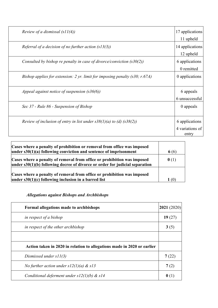| Review of a dismissal $(s11(4))$                                            | 17 applications                   |
|-----------------------------------------------------------------------------|-----------------------------------|
|                                                                             | 11 upheld                         |
| Referral of a decision of no further action $(s13(3))$                      | 14 applications                   |
|                                                                             | 12 upheld                         |
| Consulted by bishop re penalty in case of divorce/conviction $(s30(2))$     | 6 applications                    |
|                                                                             | 0 remitted                        |
| Bishop applies for extension: 2 yr. limit for imposing penalty (s30; r.67A) | 0 applications                    |
| Appeal against notice of suspension $(s36(6))$                              | 6 appeals<br>6 unsuccessful       |
| Sec 37 - Rule 86 - Suspension of Bishop                                     | 0 appeals                         |
| Review of inclusion of entry in list under $s38(1)(a)$ to (d) $(s38(2))$    | 6 applications<br>4 variations of |
|                                                                             | entry                             |

| Cases where a penalty of prohibition or removal from office was imposed<br>$\mu$ under s30(1)(a) following conviction and sentence of imprisonment            | 6 (6)            |
|---------------------------------------------------------------------------------------------------------------------------------------------------------------|------------------|
| Cases where a penalty of removal from office or prohibition was imposed<br>$\mu$ under s30(1)(b) following decree of divorce or order for judicial separation | $\mathbf{0}$ (1) |
| Cases where a penalty of removal from office or prohibition was imposed<br>under $s30(1)(c)$ following inclusion in a barred list                             | $\mathsf{L}(0)$  |

# *Allegations against Bishops and Archbishops*

| Formal allegations made to archbishops                                  | 2021(2020) |
|-------------------------------------------------------------------------|------------|
| in respect of a bishop                                                  | 19(27)     |
| in respect of the other archbishop                                      | 3(5)       |
|                                                                         |            |
| Action taken in 2020 in relation to allegations made in 2020 or earlier |            |
| Dismissed under $s11(3)$                                                | 7(22)      |
| No further action under $s12(1)(a)$ & $s13$                             | 7(2)       |
| Conditional deferment under $s12(1)(b)$ & $s14$                         |            |